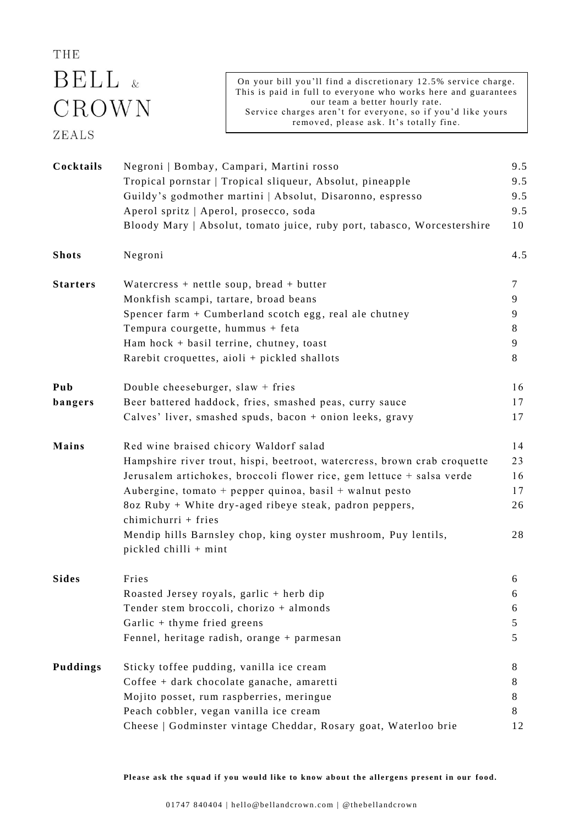## THE  $BELL$ CROWN ZEALS

On your bill you'll find a discretionary 12.5% service charge. This is paid in full to everyone who works here and guarantees our team a better hourly rate. Service charges aren't for everyone, so if you'd like yours removed, please ask. It's totally fine.

| Cocktails       | Negroni   Bombay, Campari, Martini rosso                                                | 9.5     |  |
|-----------------|-----------------------------------------------------------------------------------------|---------|--|
|                 | Tropical pornstar   Tropical sliqueur, Absolut, pineapple                               |         |  |
|                 | Guildy's godmother martini   Absolut, Disaronno, espresso                               | 9.5     |  |
|                 | Aperol spritz   Aperol, prosecco, soda                                                  | 9.5     |  |
|                 | Bloody Mary   Absolut, tomato juice, ruby port, tabasco, Worcestershire                 | 10      |  |
| <b>Shots</b>    | Negroni                                                                                 | 4.5     |  |
| <b>Starters</b> | Watercress + nettle soup, bread + butter                                                | 7       |  |
|                 | Monkfish scampi, tartare, broad beans                                                   |         |  |
|                 | Spencer farm + Cumberland scotch egg, real ale chutney                                  | 9       |  |
|                 | Tempura courgette, hummus + feta                                                        | 8       |  |
|                 | Ham hock $+$ basil terrine, chutney, toast                                              | 9       |  |
|                 | Rarebit croquettes, aioli + pickled shallots                                            | $\,8\,$ |  |
| Pub             | Double cheeseburger, slaw + fries                                                       | 16      |  |
| bangers         | Beer battered haddock, fries, smashed peas, curry sauce                                 |         |  |
|                 | Calves' liver, smashed spuds, bacon + onion leeks, gravy                                | 17      |  |
| <b>Mains</b>    | Red wine braised chicory Waldorf salad                                                  | 14      |  |
|                 | Hampshire river trout, hispi, beetroot, watercress, brown crab croquette                | 23      |  |
|                 | Jerusalem artichokes, broccoli flower rice, gem lettuce + salsa verde                   | 16      |  |
|                 | Aubergine, tomato + pepper quinoa, basil + walnut pesto                                 | 17      |  |
|                 | 8oz Ruby + White dry-aged ribeye steak, padron peppers,<br>chimichurri + fries          | 26      |  |
|                 | Mendip hills Barnsley chop, king oyster mushroom, Puy lentils,<br>pickled chilli + mint | 28      |  |
| <b>Sides</b>    | Fries                                                                                   | 6       |  |
|                 | Roasted Jersey royals, garlic + herb dip                                                | 6       |  |
|                 | Tender stem broccoli, chorizo + almonds                                                 | 6       |  |
|                 | Garlic + thyme fried greens                                                             | 5       |  |
|                 | Fennel, heritage radish, orange + parmesan                                              | 5       |  |
| <b>Puddings</b> | Sticky toffee pudding, vanilla ice cream                                                | 8       |  |
|                 | Coffee + dark chocolate ganache, amaretti                                               | 8       |  |
|                 | Mojito posset, rum raspberries, meringue                                                | 8       |  |
|                 | Peach cobbler, vegan vanilla ice cream                                                  | 8       |  |
|                 | Cheese   Godminster vintage Cheddar, Rosary goat, Waterloo brie                         | 12      |  |

Please ask the squad if you would like to know about the allergens present in our food.